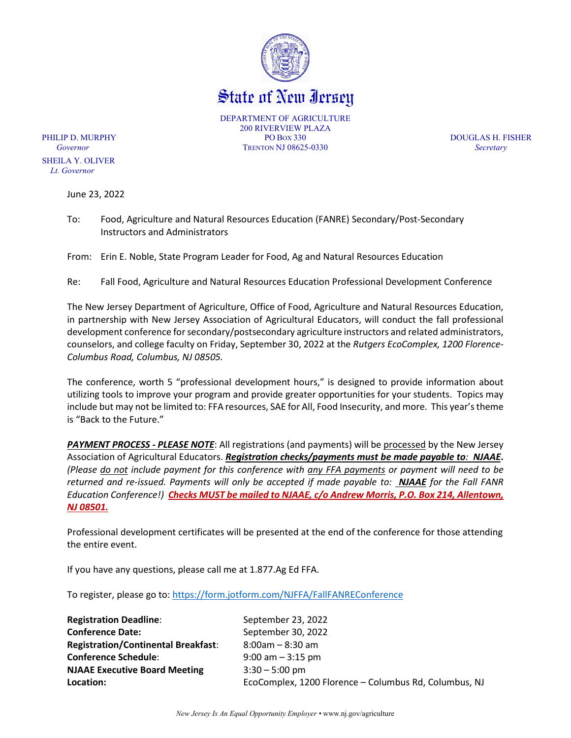

State of New Iersey

DEPARTMENT OF AGRICULTURE 200 RIVERVIEW PLAZA PHILIP D. MURPHY PO BOX 330 DOUGLAS H. FISHER *Governor* TRENTON NJ 08625-0330 *Secretary*

 SHEILA Y. OLIVER  *Lt. Governor*

June 23, 2022

To: Food, Agriculture and Natural Resources Education (FANRE) Secondary/Post-Secondary Instructors and Administrators

From: Erin E. Noble, State Program Leader for Food, Ag and Natural Resources Education

Re: Fall Food, Agriculture and Natural Resources Education Professional Development Conference

The New Jersey Department of Agriculture, Office of Food, Agriculture and Natural Resources Education, in partnership with New Jersey Association of Agricultural Educators, will conduct the fall professional development conference for secondary/postsecondary agriculture instructors and related administrators, counselors, and college faculty on Friday, September 30, 2022 at the *Rutgers EcoComplex, 1200 Florence-Columbus Road, Columbus, NJ 08505.*

The conference, worth 5 "professional development hours," is designed to provide information about utilizing tools to improve your program and provide greater opportunities for your students. Topics may include but may not be limited to: FFA resources, SAE for All, Food Insecurity, and more. This year's theme is "Back to the Future."

*PAYMENT PROCESS - PLEASE NOTE*: All registrations (and payments) will be processed by the New Jersey Association of Agricultural Educators. *Registration checks/payments must be made payable to: NJAAE***.**  *(Please do not include payment for this conference with any FFA payments or payment will need to be returned and re-issued. Payments will only be accepted if made payable to: NJAAE for the Fall FANR Education Conference!) Checks MUST be mailed to NJAAE, c/o Andrew Morris, P.O. Box 214, Allentown, NJ 08501.*

Professional development certificates will be presented at the end of the conference for those attending the entire event.

If you have any questions, please call me at 1.877.Ag Ed FFA.

To register, please go to:<https://form.jotform.com/NJFFA/FallFANREConference>

| <b>Registration Deadline:</b>              | September 23, 2022                                    |
|--------------------------------------------|-------------------------------------------------------|
| <b>Conference Date:</b>                    | September 30, 2022                                    |
| <b>Registration/Continental Breakfast:</b> | $8:00$ am - $8:30$ am                                 |
| <b>Conference Schedule:</b>                | $9:00$ am $-3:15$ pm                                  |
| <b>NJAAE Executive Board Meeting</b>       | $3:30 - 5:00$ pm                                      |
| Location:                                  | EcoComplex, 1200 Florence - Columbus Rd, Columbus, NJ |